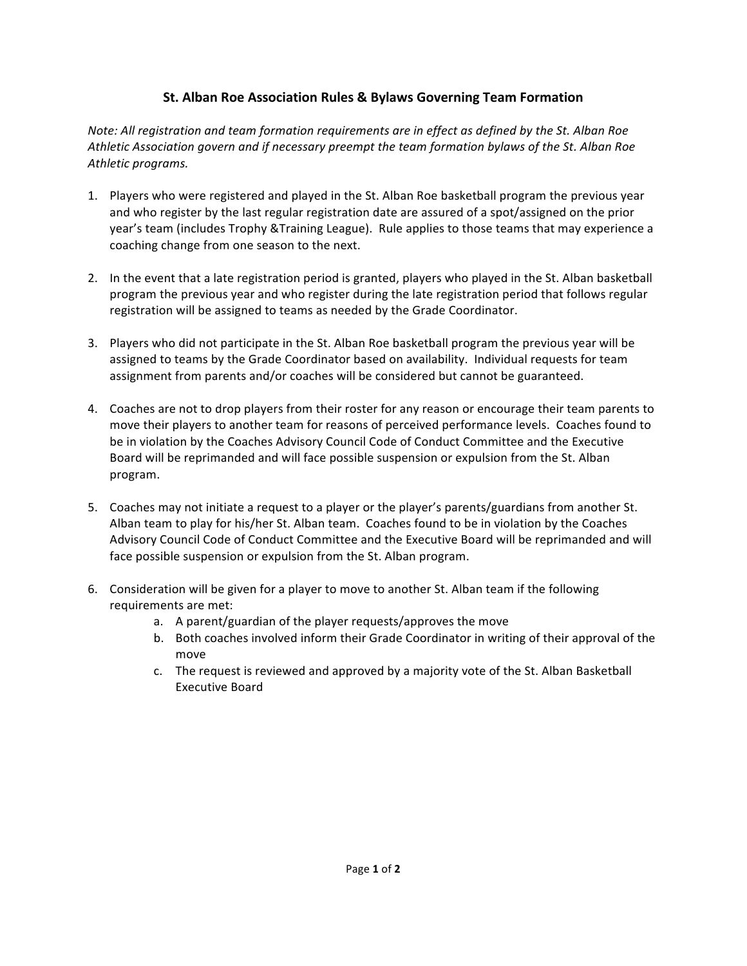## **St. Alban Roe Association Rules & Bylaws Governing Team Formation**

*Note:* All registration and team formation requirements are in effect as defined by the St. Alban Roe Athletic Association govern and if necessary preempt the team formation bylaws of the St. Alban Roe *Athletic programs.*

- 1. Players who were registered and played in the St. Alban Roe basketball program the previous year and who register by the last regular registration date are assured of a spot/assigned on the prior year's team (includes Trophy &Training League). Rule applies to those teams that may experience a coaching change from one season to the next.
- 2. In the event that a late registration period is granted, players who played in the St. Alban basketball program the previous year and who register during the late registration period that follows regular registration will be assigned to teams as needed by the Grade Coordinator.
- 3. Players who did not participate in the St. Alban Roe basketball program the previous year will be assigned to teams by the Grade Coordinator based on availability. Individual requests for team assignment from parents and/or coaches will be considered but cannot be guaranteed.
- 4. Coaches are not to drop players from their roster for any reason or encourage their team parents to move their players to another team for reasons of perceived performance levels. Coaches found to be in violation by the Coaches Advisory Council Code of Conduct Committee and the Executive Board will be reprimanded and will face possible suspension or expulsion from the St. Alban program.
- 5. Coaches may not initiate a request to a player or the player's parents/guardians from another St. Alban team to play for his/her St. Alban team. Coaches found to be in violation by the Coaches Advisory Council Code of Conduct Committee and the Executive Board will be reprimanded and will face possible suspension or expulsion from the St. Alban program.
- 6. Consideration will be given for a player to move to another St. Alban team if the following requirements are met:
	- a. A parent/guardian of the player requests/approves the move
	- b. Both coaches involved inform their Grade Coordinator in writing of their approval of the move
	- c. The request is reviewed and approved by a majority vote of the St. Alban Basketball Executive Board